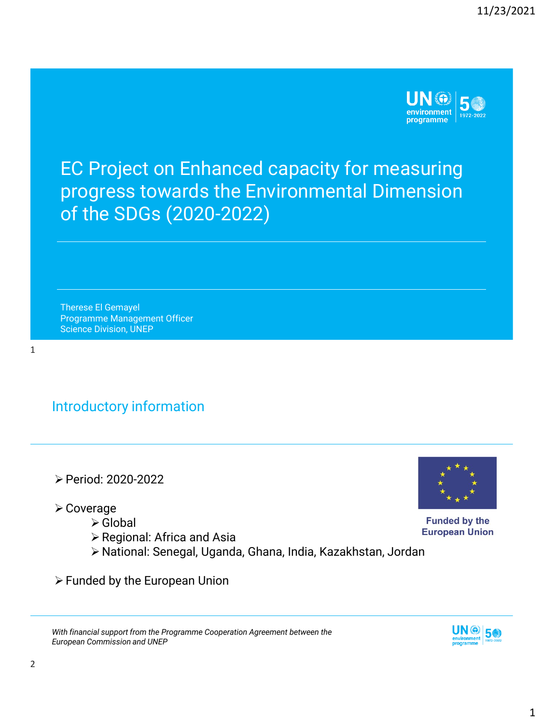

EC Project on Enhanced capacity for measuring progress towards the Environmental Dimension of the SDGs (2020-2022)

Therese El Gemayel Programme Management Officer Science Division, UNEP

1

## Introductory information

- ➢Period: 2020-2022
- ➢Coverage
	- ➢Global
	- ➢Regional: Africa and Asia
	- ➢National: Senegal, Uganda, Ghana, India, Kazakhstan, Jordan
- ➢Funded by the European Union





**Funded by the European Union**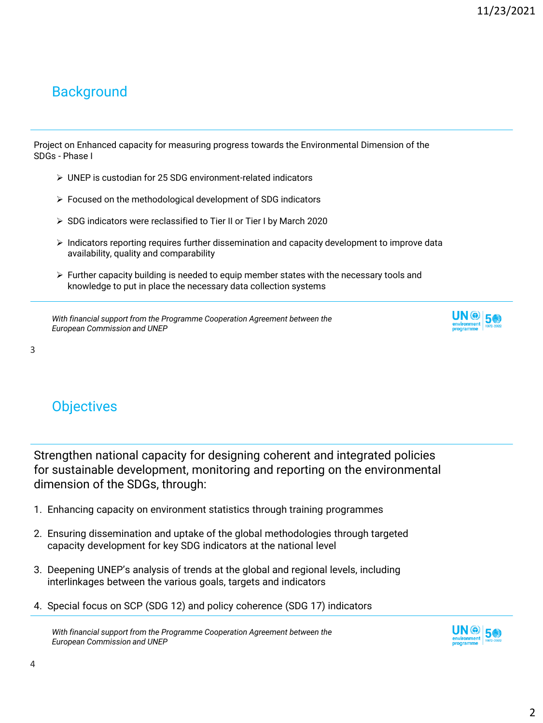### **Background**

Project on Enhanced capacity for measuring progress towards the Environmental Dimension of the SDGs - Phase I

- ➢ UNEP is custodian for 25 SDG environment-related indicators
- ➢ Focused on the methodological development of SDG indicators
- ➢ SDG indicators were reclassified to Tier II or Tier I by March 2020
- ➢ Indicators reporting requires further dissemination and capacity development to improve data availability, quality and comparability
- $\triangleright$  Further capacity building is needed to equip member states with the necessary tools and knowledge to put in place the necessary data collection systems

*With financial support from the Programme Cooperation Agreement between the European Commission and UNEP*



3

# **Objectives**

Strengthen national capacity for designing coherent and integrated policies for sustainable development, monitoring and reporting on the environmental dimension of the SDGs, through:

- 1. Enhancing capacity on environment statistics through training programmes
- 2. Ensuring dissemination and uptake of the global methodologies through targeted capacity development for key SDG indicators at the national level
- 3. Deepening UNEP's analysis of trends at the global and regional levels, including interlinkages between the various goals, targets and indicators
- 4. Special focus on SCP (SDG 12) and policy coherence (SDG 17) indicators

*With financial support from the Programme Cooperation Agreement between the European Commission and UNEP*

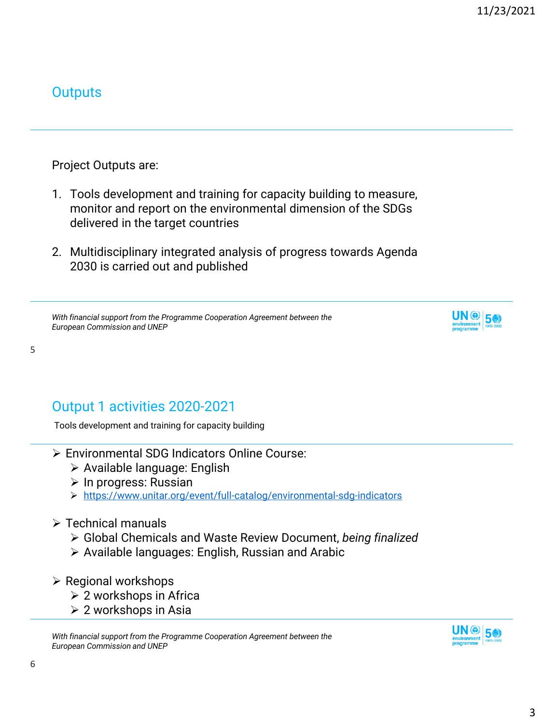#### **Outputs**

Project Outputs are:

- 1. Tools development and training for capacity building to measure, monitor and report on the environmental dimension of the SDGs delivered in the target countries
- 2. Multidisciplinary integrated analysis of progress towards Agenda 2030 is carried out and published

*With financial support from the Programme Cooperation Agreement between the European Commission and UNEP*



5

# Output 1 activities 2020-2021

Tools development and training for capacity building

- ➢ Environmental SDG Indicators Online Course:
	- ➢ Available language: English
	- ➢ In progress: Russian
	- ➢ <https://www.unitar.org/event/full-catalog/environmental-sdg-indicators>
- ➢ Technical manuals
	- ➢ Global Chemicals and Waste Review Document, *being finalized*
	- ➢ Available languages: English, Russian and Arabic
- ➢ Regional workshops
	- ➢ 2 workshops in Africa
	- ➢ 2 workshops in Asia

*With financial support from the Programme Cooperation Agreement between the European Commission and UNEP*

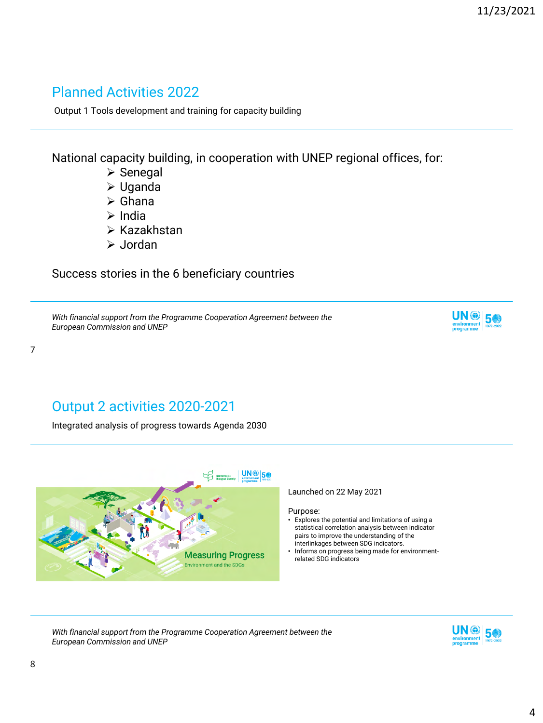#### Planned Activities 2022

Output 1 Tools development and training for capacity building

National capacity building, in cooperation with UNEP regional offices, for:

- ➢ Senegal
- ➢ Uganda
- ➢ Ghana
- ➢ India
- ➢ Kazakhstan
- ➢ Jordan

Success stories in the 6 beneficiary countries

*With financial support from the Programme Cooperation Agreement between the European Commission and UNEP*



7

## Output 2 activities 2020-2021

Integrated analysis of progress towards Agenda 2030



*With financial support from the Programme Cooperation Agreement between the European Commission and UNEP*